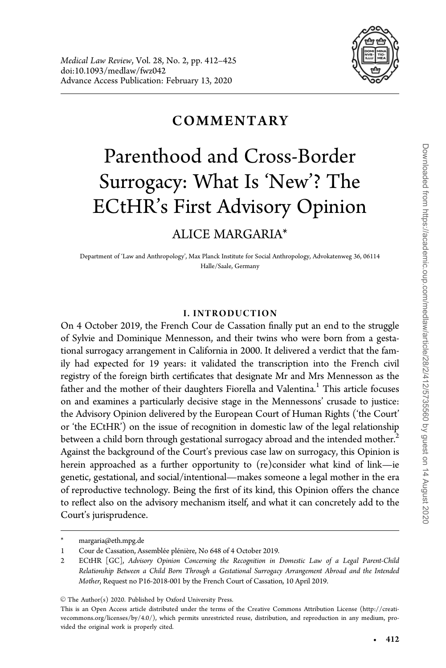

# COMMENTARY

# Parenthood and Cross-Border Surrogacy: What Is 'New'? The ECtHR's First Advisory Opinion

# ALICE MARGARIA\*

Department of 'Law and Anthropology', Max Planck Institute for Social Anthropology, Advokatenweg 36, 06114 Halle/Saale, Germany

## I. INTRODUCTION

On 4 October 2019, the French Cour de Cassation finally put an end to the struggle of Sylvie and Dominique Mennesson, and their twins who were born from a gestational surrogacy arrangement in California in 2000. It delivered a verdict that the family had expected for 19 years: it validated the transcription into the French civil registry of the foreign birth certificates that designate Mr and Mrs Mennesson as the father and the mother of their daughters Fiorella and Valentina.<sup>1</sup> This article focuses on and examines a particularly decisive stage in the Mennessons' crusade to justice: the Advisory Opinion delivered by the European Court of Human Rights ('the Court' or 'the ECtHR') on the issue of recognition in domestic law of the legal relationship between a child born through gestational surrogacy abroad and the intended mother.<sup>2</sup> Against the background of the Court's previous case law on surrogacy, this Opinion is herein approached as a further opportunity to (re)consider what kind of link—ie genetic, gestational, and social/intentional—makes someone a legal mother in the era of reproductive technology. Being the first of its kind, this Opinion offers the chance to reflect also on the advisory mechanism itself, and what it can concretely add to the Court's jurisprudence.

margaria@eth.mpg.de

<sup>1</sup> Cour de Cassation, Assemblée plénière, No 648 of 4 October 2019.

<sup>2</sup> ECtHR [GC], Advisory Opinion Concerning the Recognition in Domestic Law of a Legal Parent-Child Relationship Between a Child Born Through a Gestational Surrogacy Arrangement Abroad and the Intended Mother, Request no P16-2018-001 by the French Court of Cassation, 10 April 2019.

 $© The Author(s) 2020. Published by Oxford University Press.$ 

This is an Open Access article distributed under the terms of the Creative Commons Attribution License (http://creativecommons.org/licenses/by/4.0/), which permits unrestricted reuse, distribution, and reproduction in any medium, provided the original work is properly cited.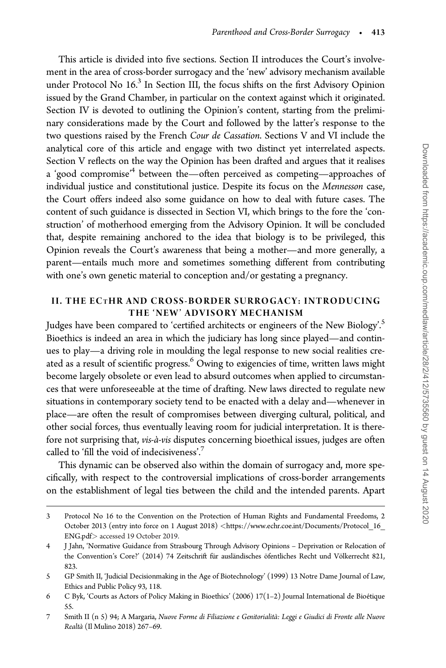This article is divided into five sections. Section II introduces the Court's involvement in the area of cross-border surrogacy and the 'new' advisory mechanism available under Protocol No 16.<sup>3</sup> In Section III, the focus shifts on the first Advisory Opinion issued by the Grand Chamber, in particular on the context against which it originated. Section IV is devoted to outlining the Opinion's content, starting from the preliminary considerations made by the Court and followed by the latter's response to the two questions raised by the French Cour de Cassation. Sections V and VI include the analytical core of this article and engage with two distinct yet interrelated aspects. Section V reflects on the way the Opinion has been drafted and argues that it realises a 'good compromise'4 between the—often perceived as competing—approaches of individual justice and constitutional justice. Despite its focus on the Mennesson case, the Court offers indeed also some guidance on how to deal with future cases. The content of such guidance is dissected in Section VI, which brings to the fore the 'construction' of motherhood emerging from the Advisory Opinion. It will be concluded that, despite remaining anchored to the idea that biology is to be privileged, this Opinion reveals the Court's awareness that being a mother—and more generally, a parent—entails much more and sometimes something different from contributing with one's own genetic material to conception and/or gestating a pregnancy.

# II. THE ECTHR AND CROSS-BORDER SURROGACY: INTRODUCING THE 'NEW' ADVISORY MECHANISM

Judges have been compared to 'certified architects or engineers of the New Biology'.<sup>5</sup> Bioethics is indeed an area in which the judiciary has long since played—and continues to play—a driving role in moulding the legal response to new social realities created as a result of scientific progress.<sup>6</sup> Owing to exigencies of time, written laws might become largely obsolete or even lead to absurd outcomes when applied to circumstances that were unforeseeable at the time of drafting. New laws directed to regulate new situations in contemporary society tend to be enacted with a delay and—whenever in place—are often the result of compromises between diverging cultural, political, and other social forces, thus eventually leaving room for judicial interpretation. It is therefore not surprising that, vis-à-vis disputes concerning bioethical issues, judges are often called to 'fill the void of indecisiveness'.7

This dynamic can be observed also within the domain of surrogacy and, more specifically, with respect to the controversial implications of cross-border arrangements on the establishment of legal ties between the child and the intended parents. Apart

<sup>3</sup> Protocol No 16 to the Convention on the Protection of Human Rights and Fundamental Freedoms, 2 October 2013 (entry into force on 1 August 2018) <https://www.echr.coe.int/Documents/Protocol 16 [ENG.pdf](https://www.echr.coe.int/Documents/Protocol_16_ENG.pdf)> accessed 19 October 2019.

<sup>4</sup> J Jahn, 'Normative Guidance from Strasbourg Through Advisory Opinions – Deprivation or Relocation of the Convention's Core?' (2014) 74 Zeitschrift für ausländisches öfentliches Recht und Völkerrecht 821, 823.

<sup>5</sup> GP Smith II, 'Judicial Decisionmaking in the Age of Biotechnology' (1999) 13 Notre Dame Journal of Law, Ethics and Public Policy 93, 118.

<sup>6</sup> C Byk, 'Courts as Actors of Policy Making in Bioethics' (2006)  $17(1-2)$  Journal International de Bioétique 55.

<sup>7</sup> Smith II (n 5) 94; A Margaria, Nuove Forme di Filiazione e Genitorialità: Leggi e Giudici di Fronte alle Nuove Realta` (Il Mulino 2018) 267–69.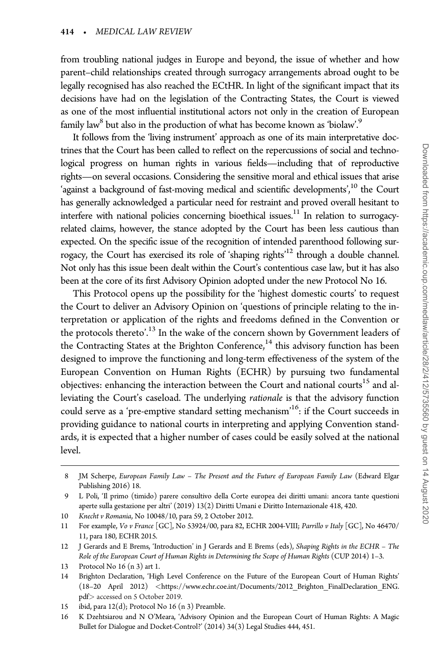from troubling national judges in Europe and beyond, the issue of whether and how parent–child relationships created through surrogacy arrangements abroad ought to be legally recognised has also reached the ECtHR. In light of the significant impact that its decisions have had on the legislation of the Contracting States, the Court is viewed as one of the most influential institutional actors not only in the creation of European family law<sup>8</sup> but also in the production of what has become known as 'biolaw'.<sup>9</sup>

It follows from the 'living instrument' approach as one of its main interpretative doctrines that the Court has been called to reflect on the repercussions of social and technological progress on human rights in various fields—including that of reproductive rights—on several occasions. Considering the sensitive moral and ethical issues that arise 'against a background of fast-moving medical and scientific developments',<sup>10</sup> the Court has generally acknowledged a particular need for restraint and proved overall hesitant to interfere with national policies concerning bioethical issues.<sup>11</sup> In relation to surrogacyrelated claims, however, the stance adopted by the Court has been less cautious than expected. On the specific issue of the recognition of intended parenthood following surrogacy, the Court has exercised its role of 'shaping rights'12 through a double channel. Not only has this issue been dealt within the Court's contentious case law, but it has also been at the core of its first Advisory Opinion adopted under the new Protocol No 16.

This Protocol opens up the possibility for the 'highest domestic courts' to request the Court to deliver an Advisory Opinion on 'questions of principle relating to the interpretation or application of the rights and freedoms defined in the Convention or the protocols thereto'.<sup>13</sup> In the wake of the concern shown by Government leaders of the Contracting States at the Brighton Conference,<sup>14</sup> this advisory function has been designed to improve the functioning and long-term effectiveness of the system of the European Convention on Human Rights (ECHR) by pursuing two fundamental objectives: enhancing the interaction between the Court and national courts<sup>15</sup> and alleviating the Court's caseload. The underlying rationale is that the advisory function could serve as a 'pre-emptive standard setting mechanism'<sup>16</sup>: if the Court succeeds in providing guidance to national courts in interpreting and applying Convention standards, it is expected that a higher number of cases could be easily solved at the national level.

<sup>8</sup> JM Scherpe, European Family Law – The Present and the Future of European Family Law (Edward Elgar Publishing 2016) 18.

<sup>9</sup> L Poli, 'Il primo (timido) parere consultivo della Corte europea dei diritti umani: ancora tante questioni aperte sulla gestazione per altri' (2019) 13(2) Diritti Umani e Diritto Internazionale 418, 420.

<sup>10</sup> Knecht v Romania, No 10048/10, para 59, 2 October 2012.

<sup>11</sup> For example, Vo v France [GC], No 53924/00, para 82, ECHR 2004-VIII; Parrillo v Italy [GC], No 46470/ 11, para 180, ECHR 2015.

<sup>12</sup> J Gerards and E Brems, 'Introduction' in J Gerards and E Brems (eds), Shaping Rights in the ECHR – The Role of the European Court of Human Rights in Determining the Scope of Human Rights (CUP 2014) 1–3.

<sup>13</sup> Protocol No 16 (n 3) art 1.

<sup>14</sup> Brighton Declaration, 'High Level Conference on the Future of the European Court of Human Rights' (18–20 April 2012) <[https://www.echr.coe.int/Documents/2012\\_Brighton\\_FinalDeclaration\\_ENG.](https://www.echr.coe.int/Documents/2012_Brighton_FinalDeclaration_ENG.pdf) [pdf](https://www.echr.coe.int/Documents/2012_Brighton_FinalDeclaration_ENG.pdf)> accessed on 5 October 2019.

<sup>15</sup> ibid, para 12(d); Protocol No 16 (n 3) Preamble.

<sup>16</sup> K Dzehtsiarou and N O'Meara, 'Advisory Opinion and the European Court of Human Rights: A Magic Bullet for Dialogue and Docket-Control?' (2014) 34(3) Legal Studies 444, 451.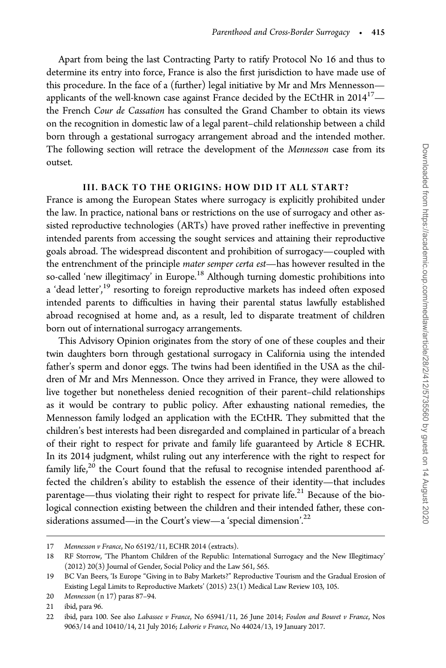Apart from being the last Contracting Party to ratify Protocol No 16 and thus to determine its entry into force, France is also the first jurisdiction to have made use of this procedure. In the face of a (further) legal initiative by Mr and Mrs Mennesson applicants of the well-known case against France decided by the ECtHR in  $2014^{17}$  the French Cour de Cassation has consulted the Grand Chamber to obtain its views on the recognition in domestic law of a legal parent–child relationship between a child born through a gestational surrogacy arrangement abroad and the intended mother. The following section will retrace the development of the Mennesson case from its outset.

# III. BACK TO THE ORIGINS: HOW DID IT ALL START?

France is among the European States where surrogacy is explicitly prohibited under the law. In practice, national bans or restrictions on the use of surrogacy and other assisted reproductive technologies (ARTs) have proved rather ineffective in preventing intended parents from accessing the sought services and attaining their reproductive goals abroad. The widespread discontent and prohibition of surrogacy—coupled with the entrenchment of the principle mater semper certa est—has however resulted in the so-called 'new illegitimacy' in Europe.<sup>18</sup> Although turning domestic prohibitions into a 'dead letter',<sup>19</sup> resorting to foreign reproductive markets has indeed often exposed intended parents to difficulties in having their parental status lawfully established abroad recognised at home and, as a result, led to disparate treatment of children born out of international surrogacy arrangements.

This Advisory Opinion originates from the story of one of these couples and their twin daughters born through gestational surrogacy in California using the intended father's sperm and donor eggs. The twins had been identified in the USA as the children of Mr and Mrs Mennesson. Once they arrived in France, they were allowed to live together but nonetheless denied recognition of their parent–child relationships as it would be contrary to public policy. After exhausting national remedies, the Mennesson family lodged an application with the ECtHR. They submitted that the children's best interests had been disregarded and complained in particular of a breach of their right to respect for private and family life guaranteed by Article 8 ECHR. In its 2014 judgment, whilst ruling out any interference with the right to respect for family life, $20$  the Court found that the refusal to recognise intended parenthood affected the children's ability to establish the essence of their identity—that includes parentage—thus violating their right to respect for private life. $^{21}$  Because of the biological connection existing between the children and their intended father, these considerations assumed—in the Court's view—a 'special dimension'.<sup>22</sup>

<sup>17</sup> Mennesson v France, No 65192/11, ECHR 2014 (extracts).

<sup>18</sup> RF Storrow, 'The Phantom Children of the Republic: International Surrogacy and the New Illegitimacy' (2012) 20(3) Journal of Gender, Social Policy and the Law 561, 565.

<sup>19</sup> BC Van Beers, 'Is Europe "Giving in to Baby Markets?" Reproductive Tourism and the Gradual Erosion of Existing Legal Limits to Reproductive Markets' (2015) 23(1) Medical Law Review 103, 105.

<sup>20</sup> Mennesson (n 17) paras 87–94.

<sup>21</sup> ibid, para 96.

<sup>22</sup> ibid, para 100. See also Labassee v France, No 65941/11, 26 June 2014; Foulon and Bouvet v France, Nos 9063/14 and 10410/14, 21 July 2016; Laborie v France, No 44024/13, 19 January 2017.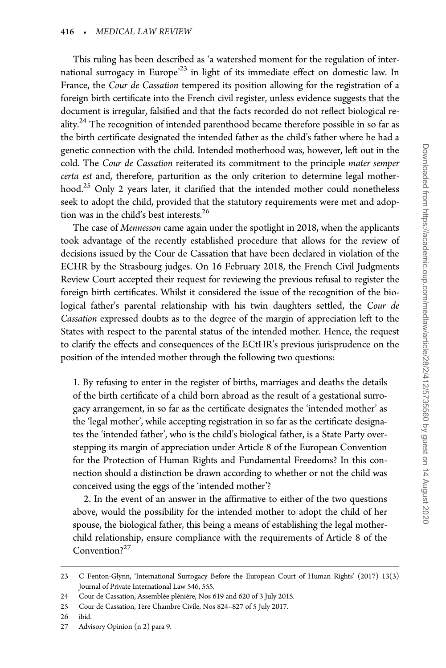This ruling has been described as 'a watershed moment for the regulation of international surrogacy in Europe<sup>23</sup> in light of its immediate effect on domestic law. In France, the Cour de Cassation tempered its position allowing for the registration of a foreign birth certificate into the French civil register, unless evidence suggests that the document is irregular, falsified and that the facts recorded do not reflect biological reality.<sup>24</sup> The recognition of intended parenthood became therefore possible in so far as the birth certificate designated the intended father as the child's father where he had a genetic connection with the child. Intended motherhood was, however, left out in the cold. The Cour de Cassation reiterated its commitment to the principle mater semper certa est and, therefore, parturition as the only criterion to determine legal motherhood.<sup>25</sup> Only 2 years later, it clarified that the intended mother could nonetheless seek to adopt the child, provided that the statutory requirements were met and adoption was in the child's best interests.26

The case of Mennesson came again under the spotlight in 2018, when the applicants took advantage of the recently established procedure that allows for the review of decisions issued by the Cour de Cassation that have been declared in violation of the ECHR by the Strasbourg judges. On 16 February 2018, the French Civil Judgments Review Court accepted their request for reviewing the previous refusal to register the foreign birth certificates. Whilst it considered the issue of the recognition of the biological father's parental relationship with his twin daughters settled, the Cour de Cassation expressed doubts as to the degree of the margin of appreciation left to the States with respect to the parental status of the intended mother. Hence, the request to clarify the effects and consequences of the ECtHR's previous jurisprudence on the position of the intended mother through the following two questions:

1. By refusing to enter in the register of births, marriages and deaths the details of the birth certificate of a child born abroad as the result of a gestational surrogacy arrangement, in so far as the certificate designates the 'intended mother' as the 'legal mother', while accepting registration in so far as the certificate designates the 'intended father', who is the child's biological father, is a State Party overstepping its margin of appreciation under Article 8 of the European Convention for the Protection of Human Rights and Fundamental Freedoms? In this connection should a distinction be drawn according to whether or not the child was conceived using the eggs of the 'intended mother'?

2. In the event of an answer in the affirmative to either of the two questions above, would the possibility for the intended mother to adopt the child of her spouse, the biological father, this being a means of establishing the legal motherchild relationship, ensure compliance with the requirements of Article 8 of the Convention?<sup>27</sup>

<sup>23</sup> C Fenton-Glynn, 'International Surrogacy Before the European Court of Human Rights' (2017) 13(3) Journal of Private International Law 546, 555.

<sup>24</sup> Cour de Cassation, Assemblée plénière, Nos 619 and 620 of 3 July 2015.

<sup>25</sup> Cour de Cassation, 1ère Chambre Civile, Nos 824-827 of 5 July 2017.

<sup>26</sup> ibid.

<sup>27</sup> Advisory Opinion (n 2) para 9.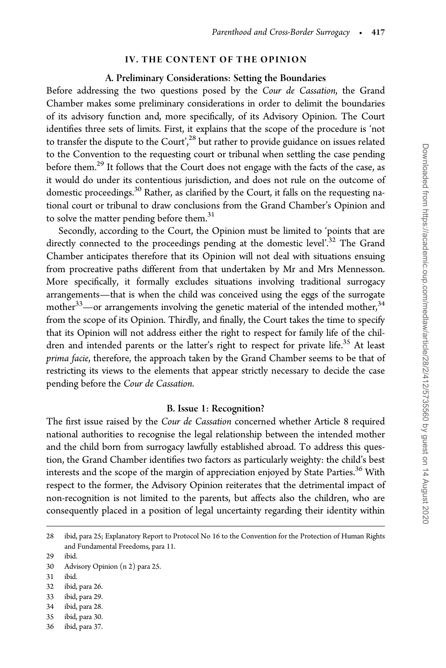### IV. THE CONTENT OF THE OPINION

#### A. Preliminary Considerations: Setting the Boundaries

Before addressing the two questions posed by the Cour de Cassation, the Grand Chamber makes some preliminary considerations in order to delimit the boundaries of its advisory function and, more specifically, of its Advisory Opinion. The Court identifies three sets of limits. First, it explains that the scope of the procedure is 'not to transfer the dispute to the Court',<sup>28</sup> but rather to provide guidance on issues related to the Convention to the requesting court or tribunal when settling the case pending before them.<sup>29</sup> It follows that the Court does not engage with the facts of the case, as it would do under its contentious jurisdiction, and does not rule on the outcome of domestic proceedings.<sup>30</sup> Rather, as clarified by the Court, it falls on the requesting national court or tribunal to draw conclusions from the Grand Chamber's Opinion and to solve the matter pending before them.<sup>31</sup>

Secondly, according to the Court, the Opinion must be limited to 'points that are directly connected to the proceedings pending at the domestic level'.<sup>32</sup> The Grand Chamber anticipates therefore that its Opinion will not deal with situations ensuing from procreative paths different from that undertaken by Mr and Mrs Mennesson. More specifically, it formally excludes situations involving traditional surrogacy arrangements—that is when the child was conceived using the eggs of the surrogate mother<sup>33</sup>—or arrangements involving the genetic material of the intended mother,<sup>34</sup> from the scope of its Opinion. Thirdly, and finally, the Court takes the time to specify that its Opinion will not address either the right to respect for family life of the children and intended parents or the latter's right to respect for private life.<sup>35</sup> At least prima facie, therefore, the approach taken by the Grand Chamber seems to be that of restricting its views to the elements that appear strictly necessary to decide the case pending before the Cour de Cassation.

#### B. Issue 1: Recognition?

The first issue raised by the Cour de Cassation concerned whether Article 8 required national authorities to recognise the legal relationship between the intended mother and the child born from surrogacy lawfully established abroad. To address this question, the Grand Chamber identifies two factors as particularly weighty: the child's best interests and the scope of the margin of appreciation enjoyed by State Parties.<sup>36</sup> With respect to the former, the Advisory Opinion reiterates that the detrimental impact of non-recognition is not limited to the parents, but affects also the children, who are consequently placed in a position of legal uncertainty regarding their identity within

- 32 ibid, para 26.
- 33 ibid, para 29.
- 34 ibid, para 28.
- 35 ibid, para 30.
- 36 ibid, para 37.

<sup>28</sup> ibid, para 25; Explanatory Report to Protocol No 16 to the Convention for the Protection of Human Rights and Fundamental Freedoms, para 11.

<sup>29</sup> ibid.

<sup>30</sup> Advisory Opinion (n 2) para 25.

<sup>31</sup> ibid.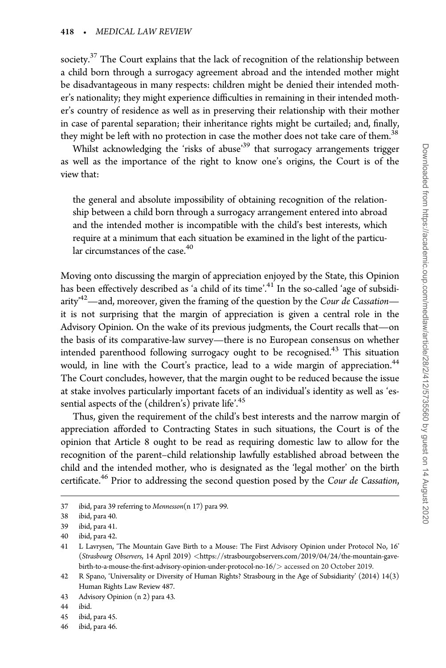society. $37$  The Court explains that the lack of recognition of the relationship between a child born through a surrogacy agreement abroad and the intended mother might be disadvantageous in many respects: children might be denied their intended mother's nationality; they might experience difficulties in remaining in their intended mother's country of residence as well as in preserving their relationship with their mother in case of parental separation; their inheritance rights might be curtailed; and, finally, they might be left with no protection in case the mother does not take care of them.<sup>38</sup>

Whilst acknowledging the 'risks of abuse'<sup>39</sup> that surrogacy arrangements trigger as well as the importance of the right to know one's origins, the Court is of the view that:

the general and absolute impossibility of obtaining recognition of the relationship between a child born through a surrogacy arrangement entered into abroad and the intended mother is incompatible with the child's best interests, which require at a minimum that each situation be examined in the light of the particular circumstances of the case.<sup>40</sup>

Moving onto discussing the margin of appreciation enjoyed by the State, this Opinion has been effectively described as 'a child of its time'.<sup>41</sup> In the so-called 'age of subsidiarity<sup>42</sup>—and, moreover, given the framing of the question by the Cour de Cassation it is not surprising that the margin of appreciation is given a central role in the Advisory Opinion. On the wake of its previous judgments, the Court recalls that—on the basis of its comparative-law survey—there is no European consensus on whether intended parenthood following surrogacy ought to be recognised.<sup>43</sup> This situation would, in line with the Court's practice, lead to a wide margin of appreciation.<sup>44</sup> The Court concludes, however, that the margin ought to be reduced because the issue at stake involves particularly important facets of an individual's identity as well as 'essential aspects of the (children's) private life'.<sup>45</sup>

Thus, given the requirement of the child's best interests and the narrow margin of appreciation afforded to Contracting States in such situations, the Court is of the opinion that Article 8 ought to be read as requiring domestic law to allow for the recognition of the parent–child relationship lawfully established abroad between the child and the intended mother, who is designated as the 'legal mother' on the birth certificate.<sup>46</sup> Prior to addressing the second question posed by the Cour de Cassation,

<sup>37</sup> ibid, para 39 referring to Mennesson(n 17) para 99.

<sup>38</sup> ibid, para 40.

<sup>39</sup> ibid, para 41.

<sup>40</sup> ibid, para 42.

<sup>41</sup> L Lavrysen, 'The Mountain Gave Birth to a Mouse: The First Advisory Opinion under Protocol No, 16' (Strasbourg Observers, 14 April 2019) <[https://strasbourgobservers.com/2019/04/24/the-mountain-gave](https://strasbourgobservers.com/2019/04/24/the-mountain-gave-birth-to-a-mouse-the-first-advisory-opinion-under-protocol-no-16/)[birth-to-a-mouse-the-first-advisory-opinion-under-protocol-no-16/](https://strasbourgobservers.com/2019/04/24/the-mountain-gave-birth-to-a-mouse-the-first-advisory-opinion-under-protocol-no-16/)> accessed on 20 October 2019.

<sup>42</sup> R Spano, 'Universality or Diversity of Human Rights? Strasbourg in the Age of Subsidiarity' (2014) 14(3) Human Rights Law Review 487.

<sup>43</sup> Advisory Opinion (n 2) para 43.

<sup>44</sup> ibid.

<sup>45</sup> ibid, para 45.

<sup>46</sup> ibid, para 46.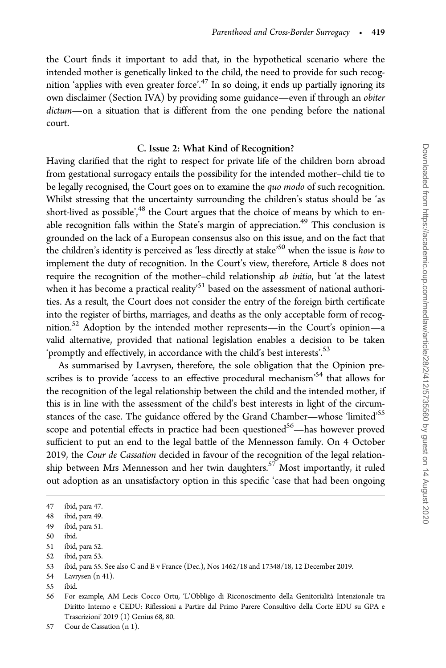the Court finds it important to add that, in the hypothetical scenario where the intended mother is genetically linked to the child, the need to provide for such recognition 'applies with even greater force'.47 In so doing, it ends up partially ignoring its own disclaimer (Section IVA) by providing some guidance—even if through an obiter dictum—on a situation that is different from the one pending before the national court.

#### C. Issue 2: What Kind of Recognition?

Having clarified that the right to respect for private life of the children born abroad from gestational surrogacy entails the possibility for the intended mother–child tie to be legally recognised, the Court goes on to examine the quo modo of such recognition. Whilst stressing that the uncertainty surrounding the children's status should be 'as short-lived as possible',<sup>48</sup> the Court argues that the choice of means by which to enable recognition falls within the State's margin of appreciation.<sup>49</sup> This conclusion is grounded on the lack of a European consensus also on this issue, and on the fact that the children's identity is perceived as 'less directly at stake'50 when the issue is how to implement the duty of recognition. In the Court's view, therefore, Article 8 does not require the recognition of the mother–child relationship ab initio, but 'at the latest when it has become a practical reality<sup>51</sup> based on the assessment of national authorities. As a result, the Court does not consider the entry of the foreign birth certificate into the register of births, marriages, and deaths as the only acceptable form of recognition.52 Adoption by the intended mother represents—in the Court's opinion—a valid alternative, provided that national legislation enables a decision to be taken 'promptly and effectively, in accordance with the child's best interests'.<sup>53</sup>

As summarised by Lavrysen, therefore, the sole obligation that the Opinion prescribes is to provide 'access to an effective procedural mechanism'<sup>54</sup> that allows for the recognition of the legal relationship between the child and the intended mother, if this is in line with the assessment of the child's best interests in light of the circumstances of the case. The guidance offered by the Grand Chamber—whose 'limited'55 scope and potential effects in practice had been questioned<sup>56</sup>—has however proved sufficient to put an end to the legal battle of the Mennesson family. On 4 October 2019, the Cour de Cassation decided in favour of the recognition of the legal relationship between Mrs Mennesson and her twin daughters.<sup>57</sup> Most importantly, it ruled out adoption as an unsatisfactory option in this specific 'case that had been ongoing

- 54 Lavrysen (n 41).
- 55 ibid.

<sup>47</sup> ibid, para 47.

<sup>48</sup> ibid, para 49.

<sup>49</sup> ibid, para 51.

<sup>50</sup> ibid.

<sup>51</sup> ibid, para 52.

<sup>52</sup> ibid, para 53.

<sup>53</sup> ibid, para 55. See also C and E v France (Dec.), Nos 1462/18 and 17348/18, 12 December 2019.

<sup>56</sup> For example, AM Lecis Cocco Ortu, 'L'Obbligo di Riconoscimento della Genitorialita` Intenzionale tra Diritto Interno e CEDU: Riflessioni a Partire dal Primo Parere Consultivo della Corte EDU su GPA e Trascrizioni' 2019 (1) Genius 68, 80.

<sup>57</sup> Cour de Cassation (n 1).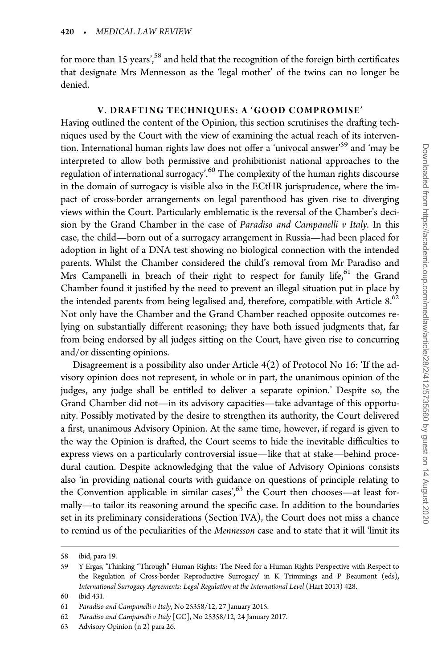for more than 15 years',<sup>58</sup> and held that the recognition of the foreign birth certificates that designate Mrs Mennesson as the 'legal mother' of the twins can no longer be denied.

#### V. DRAFTING TECHNIQUES: A 'GOOD COMPROMISE'

Having outlined the content of the Opinion, this section scrutinises the drafting techniques used by the Court with the view of examining the actual reach of its intervention. International human rights law does not offer a 'univocal answer'59 and 'may be interpreted to allow both permissive and prohibitionist national approaches to the regulation of international surrogacy'.60 The complexity of the human rights discourse in the domain of surrogacy is visible also in the ECtHR jurisprudence, where the impact of cross-border arrangements on legal parenthood has given rise to diverging views within the Court. Particularly emblematic is the reversal of the Chamber's decision by the Grand Chamber in the case of Paradiso and Campanelli v Italy. In this case, the child—born out of a surrogacy arrangement in Russia—had been placed for adoption in light of a DNA test showing no biological connection with the intended parents. Whilst the Chamber considered the child's removal from Mr Paradiso and Mrs Campanelli in breach of their right to respect for family life,<sup>61</sup> the Grand Chamber found it justified by the need to prevent an illegal situation put in place by the intended parents from being legalised and, therefore, compatible with Article  $8^{62}$ Not only have the Chamber and the Grand Chamber reached opposite outcomes relying on substantially different reasoning; they have both issued judgments that, far from being endorsed by all judges sitting on the Court, have given rise to concurring and/or dissenting opinions.

Disagreement is a possibility also under Article 4(2) of Protocol No 16: 'If the advisory opinion does not represent, in whole or in part, the unanimous opinion of the judges, any judge shall be entitled to deliver a separate opinion.' Despite so, the Grand Chamber did not—in its advisory capacities—take advantage of this opportunity. Possibly motivated by the desire to strengthen its authority, the Court delivered a first, unanimous Advisory Opinion. At the same time, however, if regard is given to the way the Opinion is drafted, the Court seems to hide the inevitable difficulties to express views on a particularly controversial issue—like that at stake—behind procedural caution. Despite acknowledging that the value of Advisory Opinions consists also 'in providing national courts with guidance on questions of principle relating to the Convention applicable in similar cases', $63$  the Court then chooses—at least formally—to tailor its reasoning around the specific case. In addition to the boundaries set in its preliminary considerations (Section IVA), the Court does not miss a chance to remind us of the peculiarities of the Mennesson case and to state that it will 'limit its

60 ibid 431.

<sup>58</sup> ibid, para 19.

<sup>59</sup> Y Ergas, 'Thinking "Through" Human Rights: The Need for a Human Rights Perspective with Respect to the Regulation of Cross-border Reproductive Surrogacy' in K Trimmings and P Beaumont (eds), International Surrogacy Agreements: Legal Regulation at the International Level (Hart 2013) 428.

<sup>61</sup> Paradiso and Campanelli v Italy, No 25358/12, 27 January 2015.

<sup>62</sup> Paradiso and Campanelli v Italy [GC], No 25358/12, 24 January 2017.

<sup>63</sup> Advisory Opinion (n 2) para 26.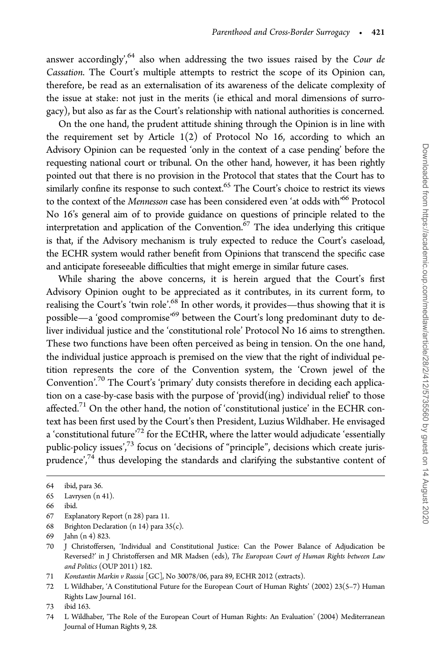answer accordingly',  $64$  also when addressing the two issues raised by the Cour de Cassation. The Court's multiple attempts to restrict the scope of its Opinion can, therefore, be read as an externalisation of its awareness of the delicate complexity of the issue at stake: not just in the merits (ie ethical and moral dimensions of surrogacy), but also as far as the Court's relationship with national authorities is concerned.

On the one hand, the prudent attitude shining through the Opinion is in line with the requirement set by Article  $1(2)$  of Protocol No 16, according to which an Advisory Opinion can be requested 'only in the context of a case pending' before the requesting national court or tribunal. On the other hand, however, it has been rightly pointed out that there is no provision in the Protocol that states that the Court has to similarly confine its response to such context.<sup>65</sup> The Court's choice to restrict its views to the context of the Mennesson case has been considered even 'at odds with'<sup>66</sup> Protocol No 16's general aim of to provide guidance on questions of principle related to the interpretation and application of the Convention.<sup> $\hat{6}$ 7</sup> The idea underlying this critique is that, if the Advisory mechanism is truly expected to reduce the Court's caseload, the ECHR system would rather benefit from Opinions that transcend the specific case and anticipate foreseeable difficulties that might emerge in similar future cases.

While sharing the above concerns, it is herein argued that the Court's first Advisory Opinion ought to be appreciated as it contributes, in its current form, to realising the Court's 'twin role'.68 In other words, it provides—thus showing that it is possible—a 'good compromise'69 between the Court's long predominant duty to deliver individual justice and the 'constitutional role' Protocol No 16 aims to strengthen. These two functions have been often perceived as being in tension. On the one hand, the individual justice approach is premised on the view that the right of individual petition represents the core of the Convention system, the 'Crown jewel of the Convention'.70 The Court's 'primary' duty consists therefore in deciding each application on a case-by-case basis with the purpose of 'provid(ing) individual relief' to those affected.<sup>71</sup> On the other hand, the notion of 'constitutional justice' in the ECHR context has been first used by the Court's then President, Luzius Wildhaber. He envisaged a 'constitutional future'<sup>72</sup> for the ECtHR, where the latter would adjudicate 'essentially public-policy issues',<sup>73</sup> focus on 'decisions of "principle", decisions which create jurisprudence',74 thus developing the standards and clarifying the substantive content of

- 66 ibid.
- 67 Explanatory Report (n 28) para 11.
- 68 Brighton Declaration (n 14) para 35(c).

- 71 Konstantin Markin v Russia [GC], No 30078/06, para 89, ECHR 2012 (extracts).
- 72 L Wildhaber, 'A Constitutional Future for the European Court of Human Rights' (2002) 23(5–7) Human Rights Law Journal 161.
- 73 ibid 163.
- 74 L Wildhaber, 'The Role of the European Court of Human Rights: An Evaluation' (2004) Mediterranean Journal of Human Rights 9, 28.

<sup>64</sup> ibid, para 36.

<sup>65</sup> Lavrysen (n 41).

<sup>69</sup> Jahn (n 4) 823.

<sup>70</sup> J Christoffersen, 'Individual and Constitutional Justice: Can the Power Balance of Adjudication be Reversed?' in J Christoffersen and MR Madsen (eds), The European Court of Human Rights between Law and Politics (OUP 2011) 182.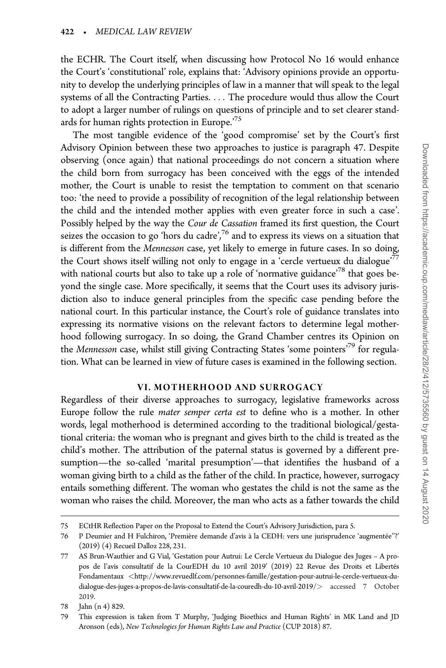the ECHR. The Court itself, when discussing how Protocol No 16 would enhance the Court's 'constitutional' role, explains that: 'Advisory opinions provide an opportunity to develop the underlying principles of law in a manner that will speak to the legal systems of all the Contracting Parties. ... The procedure would thus allow the Court to adopt a larger number of rulings on questions of principle and to set clearer standards for human rights protection in Europe.<sup>75</sup>

The most tangible evidence of the 'good compromise' set by the Court's first Advisory Opinion between these two approaches to justice is paragraph 47. Despite observing (once again) that national proceedings do not concern a situation where the child born from surrogacy has been conceived with the eggs of the intended mother, the Court is unable to resist the temptation to comment on that scenario too: 'the need to provide a possibility of recognition of the legal relationship between the child and the intended mother applies with even greater force in such a case'. Possibly helped by the way the Cour de Cassation framed its first question, the Court seizes the occasion to go 'hors du cadre',  $76$  and to express its views on a situation that is different from the Mennesson case, yet likely to emerge in future cases. In so doing, the Court shows itself willing not only to engage in a 'cercle vertueux du dialogue'<sup>77</sup> with national courts but also to take up a role of 'normative guidance'<sup>78</sup> that goes beyond the single case. More specifically, it seems that the Court uses its advisory jurisdiction also to induce general principles from the specific case pending before the national court. In this particular instance, the Court's role of guidance translates into expressing its normative visions on the relevant factors to determine legal motherhood following surrogacy. In so doing, the Grand Chamber centres its Opinion on the Mennesson case, whilst still giving Contracting States 'some pointers<sup>79</sup> for regulation. What can be learned in view of future cases is examined in the following section.

#### VI. MOTHERHOOD AND SURROGACY

Regardless of their diverse approaches to surrogacy, legislative frameworks across Europe follow the rule mater semper certa est to define who is a mother. In other words, legal motherhood is determined according to the traditional biological/gestational criteria: the woman who is pregnant and gives birth to the child is treated as the child's mother. The attribution of the paternal status is governed by a different presumption—the so-called 'marital presumption'—that identifies the husband of a woman giving birth to a child as the father of the child. In practice, however, surrogacy entails something different. The woman who gestates the child is not the same as the woman who raises the child. Moreover, the man who acts as a father towards the child

<sup>75</sup> ECtHR Reflection Paper on the Proposal to Extend the Court's Advisory Jurisdiction, para 5.

<sup>76</sup> P Deumier and H Fulchiron, 'Première demande d'avis à la CEDH: vers une jurisprudence 'augmentée''?' (2019) (4) Recueil Dalloz 228, 231.

<sup>77</sup> AS Brun-Wauthier and G Vial, 'Gestation pour Autrui: Le Cercle Vertueux du Dialogue des Juges – A propos de l'avis consultatif de la CourEDH du 10 avril 2019' (2019) 22 Revue des Droits et Libertés Fondamentaux <[http://www.revuedlf.com/personnes-famille/gestation-pour-autrui-le-cercle-vertueux-du](http://www.revuedlf.com/personnes-famille/gestation-pour-autrui-le-cercle-vertueux-du-dialogue-des-juges-a-propos-de-lavis-consultatif-de-la-couredh-du-10-avril-2019/)[dialogue-des-juges-a-propos-de-lavis-consultatif-de-la-couredh-du-10-avril-2019/](http://www.revuedlf.com/personnes-famille/gestation-pour-autrui-le-cercle-vertueux-du-dialogue-des-juges-a-propos-de-lavis-consultatif-de-la-couredh-du-10-avril-2019/)> accessed 7 October 2019.

<sup>78</sup> Jahn (n 4) 829.

<sup>79</sup> This expression is taken from T Murphy, 'Judging Bioethics and Human Rights' in MK Land and JD Aronson (eds), New Technologies for Human Rights Law and Practice (CUP 2018) 87.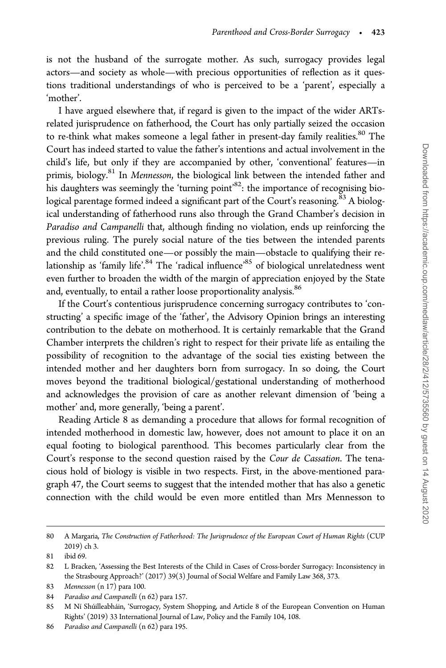is not the husband of the surrogate mother. As such, surrogacy provides legal actors—and society as whole—with precious opportunities of reflection as it questions traditional understandings of who is perceived to be a 'parent', especially a 'mother'.

I have argued elsewhere that, if regard is given to the impact of the wider ARTsrelated jurisprudence on fatherhood, the Court has only partially seized the occasion to re-think what makes someone a legal father in present-day family realities.<sup>80</sup> The Court has indeed started to value the father's intentions and actual involvement in the child's life, but only if they are accompanied by other, 'conventional' features—in primis, biology.<sup>81</sup> In Mennesson, the biological link between the intended father and his daughters was seemingly the 'turning point'<sup>82</sup>: the importance of recognising biological parentage formed indeed a significant part of the Court's reasoning.<sup>83</sup> A biological understanding of fatherhood runs also through the Grand Chamber's decision in Paradiso and Campanelli that, although finding no violation, ends up reinforcing the previous ruling. The purely social nature of the ties between the intended parents and the child constituted one—or possibly the main—obstacle to qualifying their relationship as 'family life'.<sup>84</sup> The 'radical influence'<sup>85</sup> of biological unrelatedness went even further to broaden the width of the margin of appreciation enjoyed by the State and, eventually, to entail a rather loose proportionality analysis.<sup>86</sup>

If the Court's contentious jurisprudence concerning surrogacy contributes to 'constructing' a specific image of the 'father', the Advisory Opinion brings an interesting contribution to the debate on motherhood. It is certainly remarkable that the Grand Chamber interprets the children's right to respect for their private life as entailing the possibility of recognition to the advantage of the social ties existing between the intended mother and her daughters born from surrogacy. In so doing, the Court moves beyond the traditional biological/gestational understanding of motherhood and acknowledges the provision of care as another relevant dimension of 'being a mother' and, more generally, 'being a parent'.

Reading Article 8 as demanding a procedure that allows for formal recognition of intended motherhood in domestic law, however, does not amount to place it on an equal footing to biological parenthood. This becomes particularly clear from the Court's response to the second question raised by the Cour de Cassation. The tenacious hold of biology is visible in two respects. First, in the above-mentioned paragraph 47, the Court seems to suggest that the intended mother that has also a genetic connection with the child would be even more entitled than Mrs Mennesson to

<sup>80</sup> A Margaria, The Construction of Fatherhood: The Jurisprudence of the European Court of Human Rights (CUP 2019) ch 3.

<sup>81</sup> ibid 69.

<sup>82</sup> L Bracken, 'Assessing the Best Interests of the Child in Cases of Cross-border Surrogacy: Inconsistency in the Strasbourg Approach?' (2017) 39(3) Journal of Social Welfare and Family Law 368, 373.

<sup>83</sup> Mennesson (n 17) para 100.

<sup>84</sup> Paradiso and Campanelli (n 62) para 157.

<sup>85</sup> M Ní Shúilleabháin, 'Surrogacy, System Shopping, and Article 8 of the European Convention on Human Rights' (2019) 33 International Journal of Law, Policy and the Family 104, 108.

<sup>86</sup> Paradiso and Campanelli (n 62) para 195.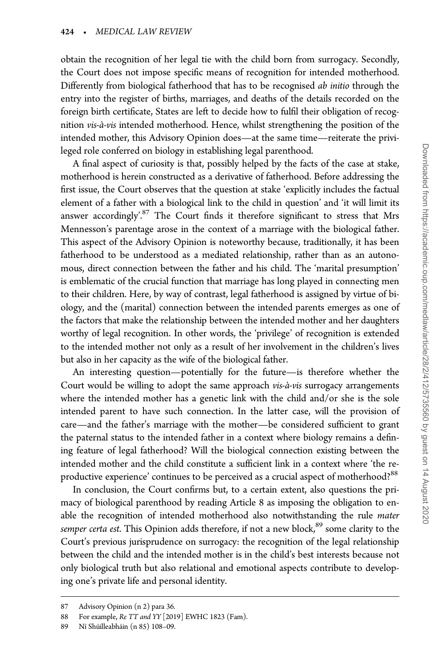obtain the recognition of her legal tie with the child born from surrogacy. Secondly, the Court does not impose specific means of recognition for intended motherhood. Differently from biological fatherhood that has to be recognised ab initio through the entry into the register of births, marriages, and deaths of the details recorded on the foreign birth certificate, States are left to decide how to fulfil their obligation of recognition  $vis \cdot d - vis$  intended motherhood. Hence, whilst strengthening the position of the intended mother, this Advisory Opinion does—at the same time—reiterate the privileged role conferred on biology in establishing legal parenthood.

A final aspect of curiosity is that, possibly helped by the facts of the case at stake, motherhood is herein constructed as a derivative of fatherhood. Before addressing the first issue, the Court observes that the question at stake 'explicitly includes the factual element of a father with a biological link to the child in question' and 'it will limit its answer accordingly'.<sup>87</sup> The Court finds it therefore significant to stress that Mrs Mennesson's parentage arose in the context of a marriage with the biological father. This aspect of the Advisory Opinion is noteworthy because, traditionally, it has been fatherhood to be understood as a mediated relationship, rather than as an autonomous, direct connection between the father and his child. The 'marital presumption' is emblematic of the crucial function that marriage has long played in connecting men to their children. Here, by way of contrast, legal fatherhood is assigned by virtue of biology, and the (marital) connection between the intended parents emerges as one of the factors that make the relationship between the intended mother and her daughters worthy of legal recognition. In other words, the 'privilege' of recognition is extended to the intended mother not only as a result of her involvement in the children's lives but also in her capacity as the wife of the biological father.

An interesting question—potentially for the future—is therefore whether the Court would be willing to adopt the same approach  $vis-\dot{a}-vis$  surrogacy arrangements where the intended mother has a genetic link with the child and/or she is the sole intended parent to have such connection. In the latter case, will the provision of care—and the father's marriage with the mother—be considered sufficient to grant the paternal status to the intended father in a context where biology remains a defining feature of legal fatherhood? Will the biological connection existing between the intended mother and the child constitute a sufficient link in a context where 'the reproductive experience' continues to be perceived as a crucial aspect of motherhood?<sup>88</sup>

In conclusion, the Court confirms but, to a certain extent, also questions the primacy of biological parenthood by reading Article 8 as imposing the obligation to enable the recognition of intended motherhood also notwithstanding the rule mater semper certa est. This Opinion adds therefore, if not a new block, 89 some clarity to the Court's previous jurisprudence on surrogacy: the recognition of the legal relationship between the child and the intended mother is in the child's best interests because not only biological truth but also relational and emotional aspects contribute to developing one's private life and personal identity.

<sup>87</sup> Advisory Opinion (n 2) para 36.

<sup>88</sup> For example, Re TT and YY [2019] EWHC 1823 (Fam).

<sup>89</sup> Ní Shúilleabháin (n 85) 108–09.